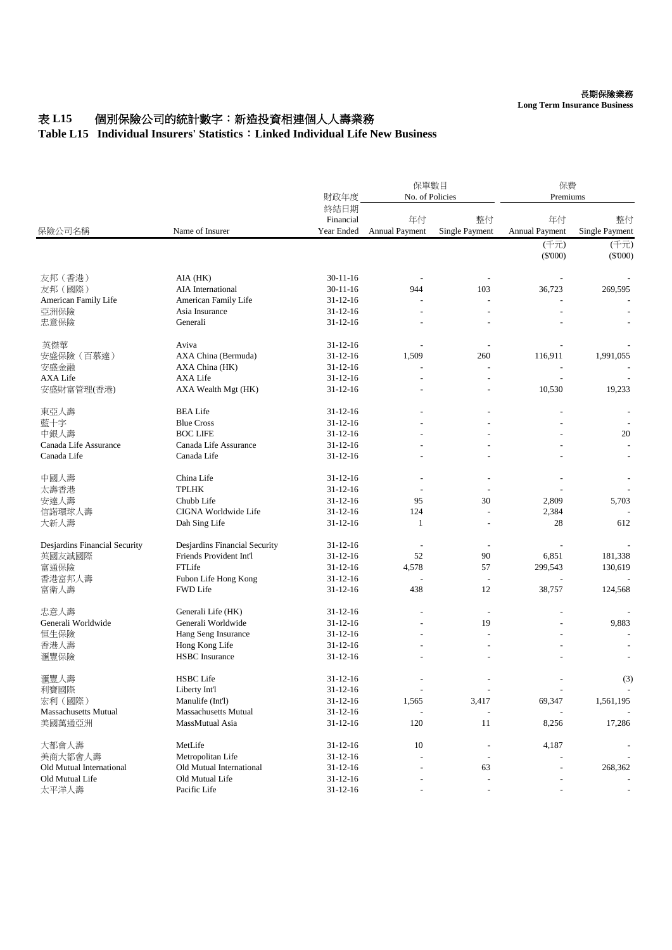## 表 L15 個別保險公司的統計數字: 新造投資相連個人人壽業務

## **Table L15 Individual Insurers' Statistics**:**Linked Individual Life New Business**

| 保險公司名稱                        | Name of Insurer               | 財政年度                            | 保單數目<br>No. of Policies     |                          | 保費<br>Premiums           |                      |
|-------------------------------|-------------------------------|---------------------------------|-----------------------------|--------------------------|--------------------------|----------------------|
|                               |                               | 終結日期<br>Financial<br>Year Ended | 年付<br><b>Annual Payment</b> | 整付<br>Single Payment     | 年付<br>Annual Payment     | 整付<br>Single Payment |
|                               |                               |                                 |                             |                          | (千元)<br>$(\$'000)$       | (千元)<br>$(\$'000)$   |
| 友邦 (香港)                       | AIA (HK)                      | $30 - 11 - 16$                  |                             |                          |                          |                      |
| 友邦 (國際)                       | <b>AIA</b> International      | $30 - 11 - 16$                  | 944                         | 103                      | 36,723                   | 269,595              |
| American Family Life          | American Family Life          | $31 - 12 - 16$                  |                             | L,                       |                          |                      |
| 亞洲保險                          | Asia Insurance                | $31 - 12 - 16$                  |                             |                          |                          |                      |
| 忠意保險                          | Generali                      | $31 - 12 - 16$                  | $\overline{a}$              |                          |                          |                      |
| 英傑華                           | Aviva                         | $31 - 12 - 16$                  |                             |                          |                          |                      |
| 安盛保險 (百慕達)                    | AXA China (Bermuda)           | $31 - 12 - 16$                  | 1,509                       | 260                      | 116,911                  | 1,991,055            |
| 安盛金融                          | AXA China (HK)                | $31 - 12 - 16$                  |                             | $\overline{a}$           |                          |                      |
| <b>AXA Life</b>               | AXA Life                      | $31 - 12 - 16$                  |                             |                          |                          |                      |
| 安盛財富管理(香港)                    | AXA Wealth Mgt (HK)           | $31 - 12 - 16$                  |                             |                          | 10,530                   | 19,233               |
| 東亞人壽                          | <b>BEA Life</b>               | $31 - 12 - 16$                  |                             |                          |                          |                      |
| 藍十字                           | <b>Blue Cross</b>             | $31 - 12 - 16$                  |                             |                          |                          |                      |
| 中銀人壽                          | <b>BOC LIFE</b>               | $31 - 12 - 16$                  |                             |                          |                          | 20                   |
| Canada Life Assurance         | Canada Life Assurance         | $31 - 12 - 16$                  |                             |                          |                          |                      |
| Canada Life                   | Canada Life                   | $31 - 12 - 16$                  |                             |                          |                          |                      |
| 中國人壽                          | China Life                    | $31 - 12 - 16$                  |                             |                          |                          |                      |
| 太壽香港                          | <b>TPLHK</b>                  | $31 - 12 - 16$                  |                             |                          |                          |                      |
| 安達人壽                          | Chubb Life                    | $31 - 12 - 16$                  | 95                          | 30                       | 2,809                    | 5,703                |
| 信諾環球人壽                        | CIGNA Worldwide Life          | $31 - 12 - 16$                  | 124                         |                          | 2,384                    |                      |
| 大新人壽                          | Dah Sing Life                 | $31 - 12 - 16$                  | 1                           | $\overline{a}$           | 28                       | 612                  |
| Desjardins Financial Security | Desjardins Financial Security | $31 - 12 - 16$                  |                             |                          |                          |                      |
| 英國友誠國際                        | Friends Provident Int'l       | $31 - 12 - 16$                  | 52                          | 90                       | 6,851                    | 181,338              |
| 富通保險                          | FTLife                        | $31 - 12 - 16$                  | 4,578                       | 57                       | 299,543                  | 130,619              |
| 香港富邦人壽                        | Fubon Life Hong Kong          | $31 - 12 - 16$                  |                             | $\overline{a}$           |                          |                      |
| 富衛人壽                          | <b>FWD Life</b>               | $31 - 12 - 16$                  | 438                         | 12                       | 38,757                   | 124,568              |
| 忠意人壽                          | Generali Life (HK)            | $31 - 12 - 16$                  |                             | $\overline{a}$           | $\overline{a}$           |                      |
| Generali Worldwide            | Generali Worldwide            | $31 - 12 - 16$                  |                             | 19                       |                          | 9,883                |
| 恒生保險                          | Hang Seng Insurance           | $31 - 12 - 16$                  |                             |                          |                          |                      |
| 香港人壽                          | Hong Kong Life                | $31 - 12 - 16$                  |                             |                          |                          |                      |
| 滙豐保險                          | <b>HSBC</b> Insurance         | $31 - 12 - 16$                  |                             |                          |                          |                      |
| 滙豐人壽                          | <b>HSBC</b> Life              | $31 - 12 - 16$                  |                             |                          |                          | (3)                  |
| 利寶國際                          | Liberty Int'l                 | $31 - 12 - 16$                  | $\overline{\phantom{a}}$    | $\overline{\phantom{a}}$ | $\overline{\phantom{a}}$ |                      |
| 宏利 (國際)                       | Manulife (Int'l)              | $31 - 12 - 16$                  | 1,565                       | 3,417                    | 69,347                   | 1,561,195            |
| <b>Massachusetts Mutual</b>   | <b>Massachusetts Mutual</b>   | $31 - 12 - 16$                  |                             |                          |                          |                      |
| 美國萬通亞洲                        | MassMutual Asia               | $31 - 12 - 16$                  | 120                         | $11\,$                   | 8,256                    | 17,286               |
| 大都會人壽                         | MetLife                       | $31 - 12 - 16$                  | 10                          |                          | 4,187                    |                      |
| 美商大都會人壽                       | Metropolitan Life             | $31 - 12 - 16$                  |                             |                          |                          |                      |
| Old Mutual International      | Old Mutual International      | $31 - 12 - 16$                  |                             | 63                       |                          | 268,362              |
| Old Mutual Life               | Old Mutual Life               | $31 - 12 - 16$                  |                             |                          |                          |                      |
| 太平洋人壽                         | Pacific Life                  | $31 - 12 - 16$                  |                             | $\overline{a}$           |                          |                      |